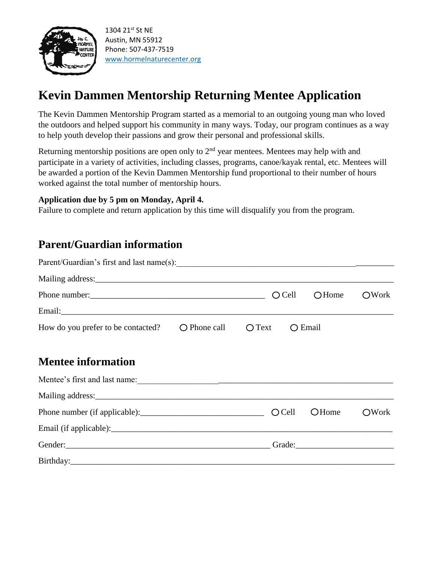

# **Kevin Dammen Mentorship Returning Mentee Application**

The Kevin Dammen Mentorship Program started as a memorial to an outgoing young man who loved the outdoors and helped support his community in many ways. Today, our program continues as a way to help youth develop their passions and grow their personal and professional skills.

Returning mentorship positions are open only to  $2<sup>nd</sup>$  year mentees. Mentees may help with and participate in a variety of activities, including classes, programs, canoe/kayak rental, etc. Mentees will be awarded a portion of the Kevin Dammen Mentorship fund proportional to their number of hours worked against the total number of mentorship hours.

#### **Application due by 5 pm on Monday, April 4.**

Failure to complete and return application by this time will disqualify you from the program.

### **Parent/Guardian information**

| Mailing address: National Communication of the contract of the contract of the contract of the contract of the contract of the contract of the contract of the contract of the contract of the contract of the contract of the |                       |                 |                  |       |
|--------------------------------------------------------------------------------------------------------------------------------------------------------------------------------------------------------------------------------|-----------------------|-----------------|------------------|-------|
|                                                                                                                                                                                                                                |                       | $O$ Cell        | OHome            | ○Work |
|                                                                                                                                                                                                                                |                       |                 |                  |       |
| How do you prefer to be contacted?                                                                                                                                                                                             | $\bigcirc$ Phone call | $\bigcirc$ Text | $\bigcirc$ Email |       |
|                                                                                                                                                                                                                                |                       |                 |                  |       |
| <b>Mentee information</b>                                                                                                                                                                                                      |                       |                 |                  |       |
|                                                                                                                                                                                                                                |                       |                 |                  |       |
|                                                                                                                                                                                                                                |                       |                 |                  |       |
|                                                                                                                                                                                                                                |                       | $O$ Cell        | <b>O</b> Home    | OWork |
|                                                                                                                                                                                                                                |                       |                 |                  |       |
|                                                                                                                                                                                                                                |                       |                 |                  |       |
|                                                                                                                                                                                                                                |                       |                 |                  |       |
|                                                                                                                                                                                                                                |                       |                 |                  |       |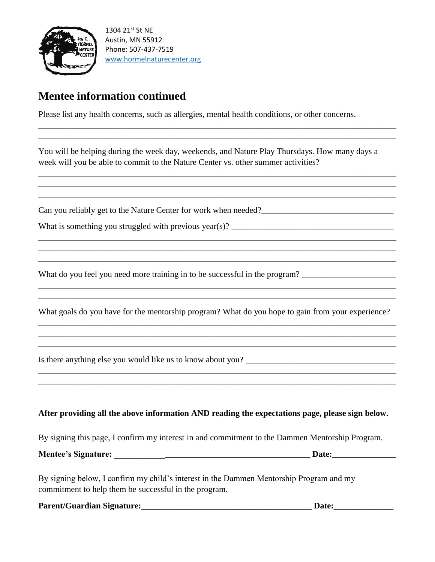

### **Mentee information continued**

Please list any health concerns, such as allergies, mental health conditions, or other concerns.

You will be helping during the week day, weekends, and Nature Play Thursdays. How many days a week will you be able to commit to the Nature Center vs. other summer activities?

\_\_\_\_\_\_\_\_\_\_\_\_\_\_\_\_\_\_\_\_\_\_\_\_\_\_\_\_\_\_\_\_\_\_\_\_\_\_\_\_\_\_\_\_\_\_\_\_\_\_\_\_\_\_\_\_\_\_\_\_\_\_\_\_\_\_\_\_\_\_\_\_\_\_\_\_\_\_\_\_\_\_\_\_ \_\_\_\_\_\_\_\_\_\_\_\_\_\_\_\_\_\_\_\_\_\_\_\_\_\_\_\_\_\_\_\_\_\_\_\_\_\_\_\_\_\_\_\_\_\_\_\_\_\_\_\_\_\_\_\_\_\_\_\_\_\_\_\_\_\_\_\_\_\_\_\_\_\_\_\_\_\_\_\_\_\_\_\_

\_\_\_\_\_\_\_\_\_\_\_\_\_\_\_\_\_\_\_\_\_\_\_\_\_\_\_\_\_\_\_\_\_\_\_\_\_\_\_\_\_\_\_\_\_\_\_\_\_\_\_\_\_\_\_\_\_\_\_\_\_\_\_\_\_\_\_\_\_\_\_\_\_\_\_\_\_\_\_\_\_\_\_\_ \_\_\_\_\_\_\_\_\_\_\_\_\_\_\_\_\_\_\_\_\_\_\_\_\_\_\_\_\_\_\_\_\_\_\_\_\_\_\_\_\_\_\_\_\_\_\_\_\_\_\_\_\_\_\_\_\_\_\_\_\_\_\_\_\_\_\_\_\_\_\_\_\_\_\_\_\_\_\_\_\_\_\_\_ \_\_\_\_\_\_\_\_\_\_\_\_\_\_\_\_\_\_\_\_\_\_\_\_\_\_\_\_\_\_\_\_\_\_\_\_\_\_\_\_\_\_\_\_\_\_\_\_\_\_\_\_\_\_\_\_\_\_\_\_\_\_\_\_\_\_\_\_\_\_\_\_\_\_\_\_\_\_\_\_\_\_\_\_

\_\_\_\_\_\_\_\_\_\_\_\_\_\_\_\_\_\_\_\_\_\_\_\_\_\_\_\_\_\_\_\_\_\_\_\_\_\_\_\_\_\_\_\_\_\_\_\_\_\_\_\_\_\_\_\_\_\_\_\_\_\_\_\_\_\_\_\_\_\_\_\_\_\_\_\_\_\_\_\_\_\_\_\_ \_\_\_\_\_\_\_\_\_\_\_\_\_\_\_\_\_\_\_\_\_\_\_\_\_\_\_\_\_\_\_\_\_\_\_\_\_\_\_\_\_\_\_\_\_\_\_\_\_\_\_\_\_\_\_\_\_\_\_\_\_\_\_\_\_\_\_\_\_\_\_\_\_\_\_\_\_\_\_\_\_\_\_\_ \_\_\_\_\_\_\_\_\_\_\_\_\_\_\_\_\_\_\_\_\_\_\_\_\_\_\_\_\_\_\_\_\_\_\_\_\_\_\_\_\_\_\_\_\_\_\_\_\_\_\_\_\_\_\_\_\_\_\_\_\_\_\_\_\_\_\_\_\_\_\_\_\_\_\_\_\_\_\_\_\_\_\_\_

Can you reliably get to the Nature Center for work when needed?\_\_\_\_\_\_\_\_\_\_\_\_\_\_\_\_\_\_\_\_\_\_\_\_\_\_\_\_\_\_\_

What is something you struggled with previous year(s)?  $\Box$ 

What do you feel you need more training in to be successful in the program? \_\_\_\_\_\_\_\_\_\_\_\_\_\_\_\_\_\_\_\_\_\_

What goals do you have for the mentorship program? What do you hope to gain from your experience? \_\_\_\_\_\_\_\_\_\_\_\_\_\_\_\_\_\_\_\_\_\_\_\_\_\_\_\_\_\_\_\_\_\_\_\_\_\_\_\_\_\_\_\_\_\_\_\_\_\_\_\_\_\_\_\_\_\_\_\_\_\_\_\_\_\_\_\_\_\_\_\_\_\_\_\_\_\_\_\_\_\_\_\_

\_\_\_\_\_\_\_\_\_\_\_\_\_\_\_\_\_\_\_\_\_\_\_\_\_\_\_\_\_\_\_\_\_\_\_\_\_\_\_\_\_\_\_\_\_\_\_\_\_\_\_\_\_\_\_\_\_\_\_\_\_\_\_\_\_\_\_\_\_\_\_\_\_\_\_\_\_\_\_\_\_\_\_\_ \_\_\_\_\_\_\_\_\_\_\_\_\_\_\_\_\_\_\_\_\_\_\_\_\_\_\_\_\_\_\_\_\_\_\_\_\_\_\_\_\_\_\_\_\_\_\_\_\_\_\_\_\_\_\_\_\_\_\_\_\_\_\_\_\_\_\_\_\_\_\_\_\_\_\_\_\_\_\_\_\_\_\_\_

\_\_\_\_\_\_\_\_\_\_\_\_\_\_\_\_\_\_\_\_\_\_\_\_\_\_\_\_\_\_\_\_\_\_\_\_\_\_\_\_\_\_\_\_\_\_\_\_\_\_\_\_\_\_\_\_\_\_\_\_\_\_\_\_\_\_\_\_\_\_\_\_\_\_\_\_\_\_\_\_\_\_\_\_ \_\_\_\_\_\_\_\_\_\_\_\_\_\_\_\_\_\_\_\_\_\_\_\_\_\_\_\_\_\_\_\_\_\_\_\_\_\_\_\_\_\_\_\_\_\_\_\_\_\_\_\_\_\_\_\_\_\_\_\_\_\_\_\_\_\_\_\_\_\_\_\_\_\_\_\_\_\_\_\_\_\_\_\_

\_\_\_\_\_\_\_\_\_\_\_\_\_\_\_\_\_\_\_\_\_\_\_\_\_\_\_\_\_\_\_\_\_\_\_\_\_\_\_\_\_\_\_\_\_\_\_\_\_\_\_\_\_\_\_\_\_\_\_\_\_\_\_\_\_\_\_\_\_\_\_\_\_\_\_\_\_\_\_\_\_\_\_\_ \_\_\_\_\_\_\_\_\_\_\_\_\_\_\_\_\_\_\_\_\_\_\_\_\_\_\_\_\_\_\_\_\_\_\_\_\_\_\_\_\_\_\_\_\_\_\_\_\_\_\_\_\_\_\_\_\_\_\_\_\_\_\_\_\_\_\_\_\_\_\_\_\_\_\_\_\_\_\_\_\_\_\_\_

Is there anything else you would like us to know about you?

#### **After providing all the above information AND reading the expectations page, please sign below.**

By signing this page, I confirm my interest in and commitment to the Dammen Mentorship Program.

|  | <b>Mentee's Signature:</b> |  |  |  |
|--|----------------------------|--|--|--|
|--|----------------------------|--|--|--|

By signing below, I confirm my child's interest in the Dammen Mentorship Program and my commitment to help them be successful in the program.

**Parent/Guardian Signature:\_\_\_\_\_\_\_\_\_\_\_\_\_\_\_\_\_\_\_\_\_\_\_\_\_\_\_\_\_\_\_\_\_\_\_\_\_\_\_\_ Date:\_\_\_\_\_\_\_\_\_\_\_\_\_\_**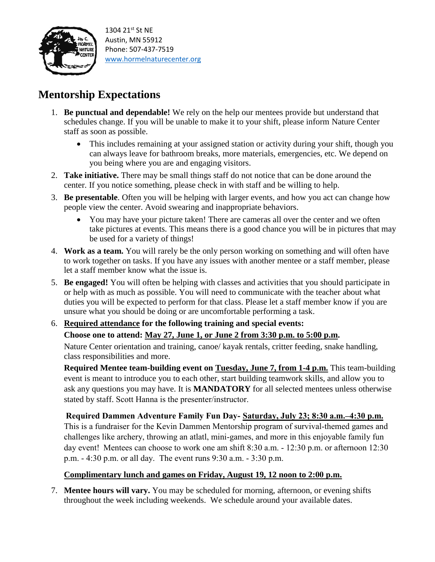

## **Mentorship Expectations**

- 1. **Be punctual and dependable!** We rely on the help our mentees provide but understand that schedules change. If you will be unable to make it to your shift, please inform Nature Center staff as soon as possible.
	- This includes remaining at your assigned station or activity during your shift, though you can always leave for bathroom breaks, more materials, emergencies, etc. We depend on you being where you are and engaging visitors.
- 2. **Take initiative.** There may be small things staff do not notice that can be done around the center. If you notice something, please check in with staff and be willing to help.
- 3. **Be presentable**. Often you will be helping with larger events, and how you act can change how people view the center. Avoid swearing and inappropriate behaviors.
	- You may have your picture taken! There are cameras all over the center and we often take pictures at events. This means there is a good chance you will be in pictures that may be used for a variety of things!
- 4. **Work as a team.** You will rarely be the only person working on something and will often have to work together on tasks. If you have any issues with another mentee or a staff member, please let a staff member know what the issue is.
- 5. **Be engaged!** You will often be helping with classes and activities that you should participate in or help with as much as possible. You will need to communicate with the teacher about what duties you will be expected to perform for that class. Please let a staff member know if you are unsure what you should be doing or are uncomfortable performing a task.

### 6. **Required attendance for the following training and special events: Choose one to attend: May 27, June 1, or June 2 from 3:30 p.m. to 5:00 p.m.**

Nature Center orientation and training, canoe/ kayak rentals, critter feeding, snake handling, class responsibilities and more.

**Required Mentee team-building event on Tuesday, June 7, from 1-4 p.m.** This team-building event is meant to introduce you to each other, start building teamwork skills, and allow you to ask any questions you may have. It is **MANDATORY** for all selected mentees unless otherwise stated by staff. Scott Hanna is the presenter/instructor.

**Required Dammen Adventure Family Fun Day- Saturday, July 23; 8:30 a.m.–4:30 p.m.**

This is a fundraiser for the Kevin Dammen Mentorship program of survival-themed games and challenges like archery, throwing an atlatl, mini-games, and more in this enjoyable family fun day event! Mentees can choose to work one am shift 8:30 a.m. - 12:30 p.m. or afternoon 12:30 p.m. - 4:30 p.m. or all day. The event runs 9:30 a.m. - 3:30 p.m.

### **Complimentary lunch and games on Friday, August 19, 12 noon to 2:00 p.m.**

7. **Mentee hours will vary.** You may be scheduled for morning, afternoon, or evening shifts throughout the week including weekends. We schedule around your available dates.